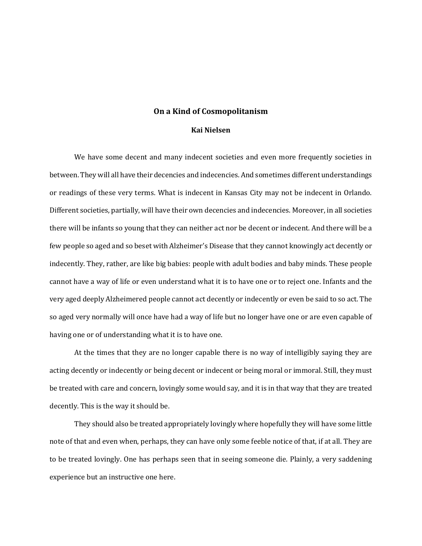## **On a Kind of Cosmopolitanism**

## **Kai Nielsen**

We have some decent and many indecent societies and even more frequently societies in between. They will all have their decencies and indecencies. And sometimes different understandings or readings of these very terms. What is indecent in Kansas City may not be indecent in Orlando. Different societies, partially, will have their own decencies and indecencies. Moreover, in all societies there will be infants so young that they can neither act nor be decent or indecent. And there will be a few people so aged and so beset with Alzheimer's Disease that they cannot knowingly act decently or indecently. They, rather, are like big babies: people with adult bodies and baby minds. These people cannot have a way of life or even understand what it is to have one or to reject one. Infants and the very aged deeply Alzheimered people cannot act decently or indecently or even be said to so act. The so aged very normally will once have had a way of life but no longer have one or are even capable of having one or of understanding what it is to have one.

At the times that they are no longer capable there is no way of intelligibly saying they are acting decently or indecently or being decent or indecent or being moral or immoral. Still, they must be treated with care and concern, lovingly some would say, and it is in that way that they are treated decently. This is the way it should be.

They should also be treated appropriately lovingly where hopefully they will have some little note of that and even when, perhaps, they can have only some feeble notice of that, if at all. They are to be treated lovingly. One has perhaps seen that in seeing someone die. Plainly, a very saddening experience but an instructive one here.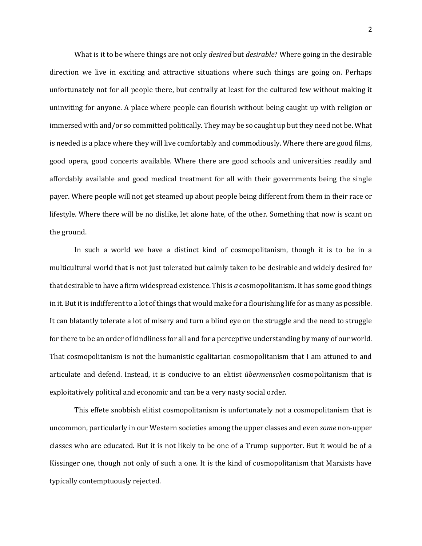What is it to be where things are not only *desired* but *desirable*? Where going in the desirable direction we live in exciting and attractive situations where such things are going on. Perhaps unfortunately not for all people there, but centrally at least for the cultured few without making it uninviting for anyone. A place where people can flourish without being caught up with religion or immersed with and/or so committed politically. They may be so caught up but they need not be. What is needed is a place where they will live comfortably and commodiously. Where there are good films, good opera, good concerts available. Where there are good schools and universities readily and affordably available and good medical treatment for all with their governments being the single payer. Where people will not get steamed up about people being different from them in their race or lifestyle. Where there will be no dislike, let alone hate, of the other. Something that now is scant on the ground.

In such a world we have a distinct kind of cosmopolitanism, though it is to be in a multicultural world that is not just tolerated but calmly taken to be desirable and widely desired for that desirable to have a firm widespread existence. This is *a* cosmopolitanism. It has some good things in it. But it is indifferent to a lot of things that would make for a flourishing life for as many as possible. It can blatantly tolerate a lot of misery and turn a blind eye on the struggle and the need to struggle for there to be an order of kindliness for all and for a perceptive understanding by many of our world. That cosmopolitanism is not the humanistic egalitarian cosmopolitanism that I am attuned to and articulate and defend. Instead, it is conducive to an elitist *übermenschen* cosmopolitanism that is exploitatively political and economic and can be a very nasty social order.

This effete snobbish elitist cosmopolitanism is unfortunately not a cosmopolitanism that is uncommon, particularly in our Western societies among the upper classes and even *some* non-upper classes who are educated. But it is not likely to be one of a Trump supporter. But it would be of a Kissinger one, though not only of such a one. It is the kind of cosmopolitanism that Marxists have typically contemptuously rejected.